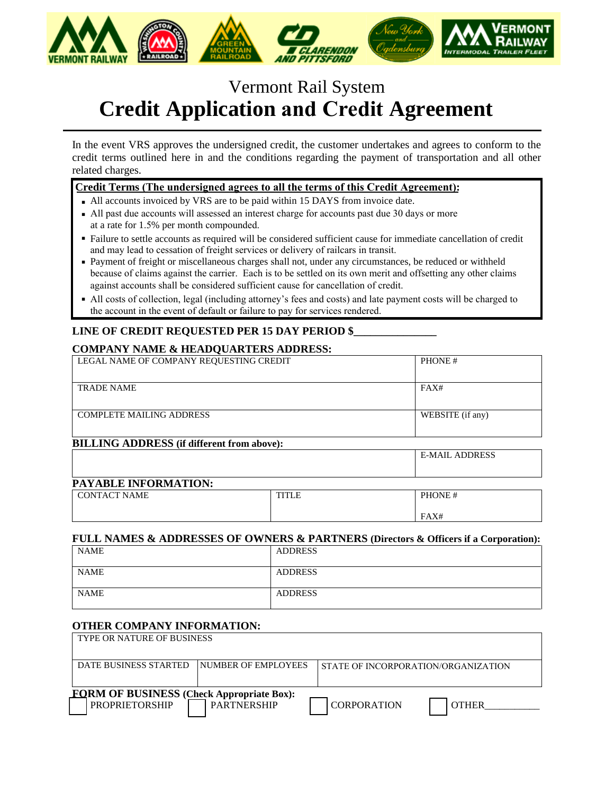

# Vermont Rail System **Credit Application and Credit Agreement**

In the event VRS approves the undersigned credit, the customer undertakes and agrees to conform to the credit terms outlined here in and the conditions regarding the payment of transportation and all other related charges.

## **Credit Terms (The undersigned agrees to all the terms of this Credit Agreement):**

- All accounts invoiced by VRS are to be paid within 15 DAYS from invoice date.
- All past due accounts will assessed an interest charge for accounts past due 30 days or more at a rate for 1.5% per month compounded.
- Failure to settle accounts as required will be considered sufficient cause for immediate cancellation of credit and may lead to cessation of freight services or delivery of railcars in transit.
- Payment of freight or miscellaneous charges shall not, under any circumstances, be reduced or withheld because of claims against the carrier. Each is to be settled on its own merit and offsetting any other claims against accounts shall be considered sufficient cause for cancellation of credit.
- All costs of collection, legal (including attorney's fees and costs) and late payment costs will be charged to the account in the event of default or failure to pay for services rendered.

# LINE OF CREDIT REQUESTED PER 15 DAY PERIOD \$

## **COMPANY NAME & HEADQUARTERS ADDRESS:**

| LEGAL NAME OF COMPANY REQUESTING CREDIT | PHONE#           |
|-----------------------------------------|------------------|
|                                         |                  |
| <b>TRADE NAME</b>                       | FAX#             |
|                                         |                  |
| <b>COMPLETE MAILING ADDRESS</b>         | WEBSITE (if any) |
|                                         |                  |

# **BILLING ADDRESS (if different from above):**

E-MAIL ADDRESS

### **PAYABLE INFORMATION:**

| <b>CONTACT NAME</b> | THEFT IT<br>111LL | PHONE# |
|---------------------|-------------------|--------|
|                     |                   | FAX#   |

### **FULL NAMES & ADDRESSES OF OWNERS & PARTNERS (Directors & Officers if a Corporation):**

| <b>NAME</b> | <b>ADDRESS</b> |
|-------------|----------------|
| <b>NAME</b> | <b>ADDRESS</b> |
| <b>NAME</b> | <b>ADDRESS</b> |

### **OTHER COMPANY INFORMATION:**

| <b>TYPE OR NATURE OF BUSINESS</b>                                                           |                       |                    |  |                    |              |  |
|---------------------------------------------------------------------------------------------|-----------------------|--------------------|--|--------------------|--------------|--|
| DATE BUSINESS STARTED<br><b>INUMBER OF EMPLOYEES</b><br>STATE OF INCORPORATION/ORGANIZATION |                       |                    |  |                    |              |  |
|                                                                                             |                       |                    |  |                    |              |  |
| <b>FORM OF BUSINESS</b> (Check Appropriate Box):                                            |                       |                    |  |                    |              |  |
|                                                                                             | <b>PROPRIETORSHIP</b> | <b>PARTNERSHIP</b> |  | <b>CORPORATION</b> | <b>OTHER</b> |  |